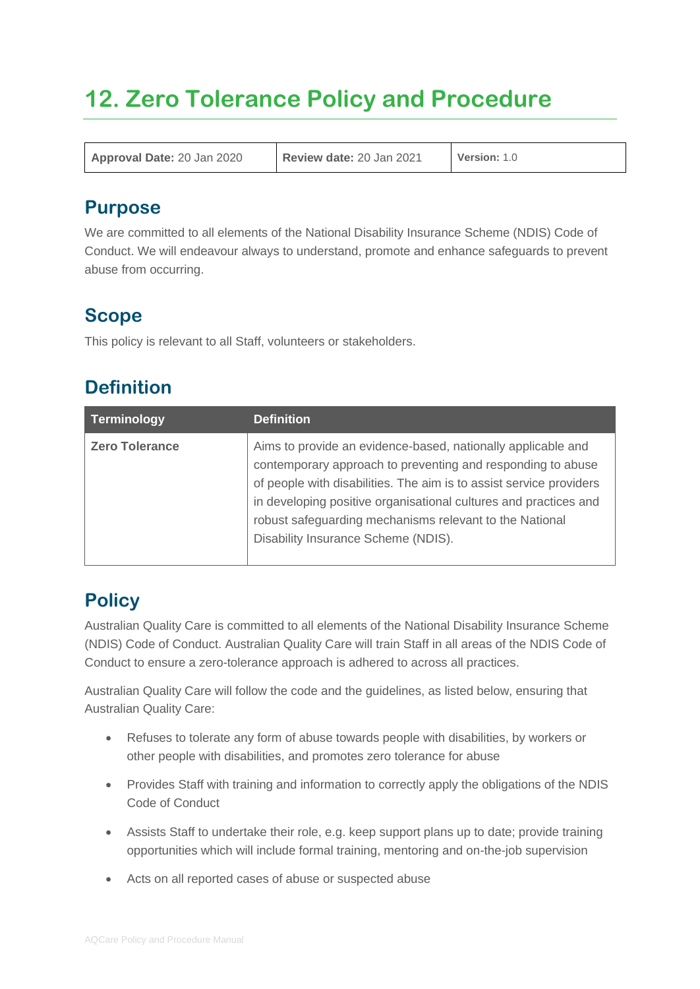# **12. Zero Tolerance Policy and Procedure**

**Approval Date:** 20 Jan 2020 **Review date:** 20 Jan 2021 **Version:** 1.0

#### **Purpose**

We are committed to all elements of the National Disability Insurance Scheme (NDIS) Code of Conduct. We will endeavour always to understand, promote and enhance safeguards to prevent abuse from occurring.

# **Scope**

This policy is relevant to all Staff, volunteers or stakeholders.

# **Definition**

| Terminology           | <b>Definition</b>                                                                                                                                                                                                                                                                                                                                                        |
|-----------------------|--------------------------------------------------------------------------------------------------------------------------------------------------------------------------------------------------------------------------------------------------------------------------------------------------------------------------------------------------------------------------|
| <b>Zero Tolerance</b> | Aims to provide an evidence-based, nationally applicable and<br>contemporary approach to preventing and responding to abuse<br>of people with disabilities. The aim is to assist service providers<br>in developing positive organisational cultures and practices and<br>robust safeguarding mechanisms relevant to the National<br>Disability Insurance Scheme (NDIS). |

# **Policy**

Australian Quality Care is committed to all elements of the National Disability Insurance Scheme (NDIS) Code of Conduct. Australian Quality Care will train Staff in all areas of the NDIS Code of Conduct to ensure a zero-tolerance approach is adhered to across all practices.

Australian Quality Care will follow the code and the guidelines, as listed below, ensuring that Australian Quality Care:

- Refuses to tolerate any form of abuse towards people with disabilities, by workers or other people with disabilities, and promotes zero tolerance for abuse
- Provides Staff with training and information to correctly apply the obligations of the NDIS Code of Conduct
- Assists Staff to undertake their role, e.g. keep support plans up to date; provide training opportunities which will include formal training, mentoring and on-the-job supervision
- Acts on all reported cases of abuse or suspected abuse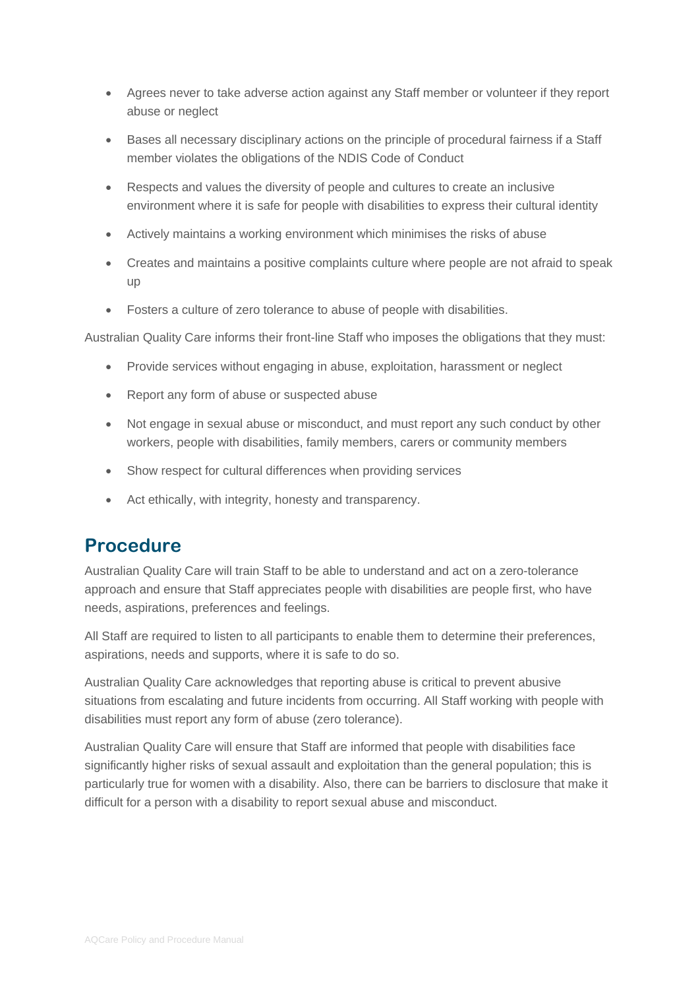- Agrees never to take adverse action against any Staff member or volunteer if they report abuse or neglect
- Bases all necessary disciplinary actions on the principle of procedural fairness if a Staff member violates the obligations of the NDIS Code of Conduct
- Respects and values the diversity of people and cultures to create an inclusive environment where it is safe for people with disabilities to express their cultural identity
- Actively maintains a working environment which minimises the risks of abuse
- Creates and maintains a positive complaints culture where people are not afraid to speak up
- Fosters a culture of zero tolerance to abuse of people with disabilities.

Australian Quality Care informs their front-line Staff who imposes the obligations that they must:

- Provide services without engaging in abuse, exploitation, harassment or neglect
- Report any form of abuse or suspected abuse
- Not engage in sexual abuse or misconduct, and must report any such conduct by other workers, people with disabilities, family members, carers or community members
- Show respect for cultural differences when providing services
- Act ethically, with integrity, honesty and transparency.

#### **Procedure**

Australian Quality Care will train Staff to be able to understand and act on a zero-tolerance approach and ensure that Staff appreciates people with disabilities are people first, who have needs, aspirations, preferences and feelings.

All Staff are required to listen to all participants to enable them to determine their preferences, aspirations, needs and supports, where it is safe to do so.

Australian Quality Care acknowledges that reporting abuse is critical to prevent abusive situations from escalating and future incidents from occurring. All Staff working with people with disabilities must report any form of abuse (zero tolerance).

Australian Quality Care will ensure that Staff are informed that people with disabilities face significantly higher risks of sexual assault and exploitation than the general population; this is particularly true for women with a disability. Also, there can be barriers to disclosure that make it difficult for a person with a disability to report sexual abuse and misconduct.